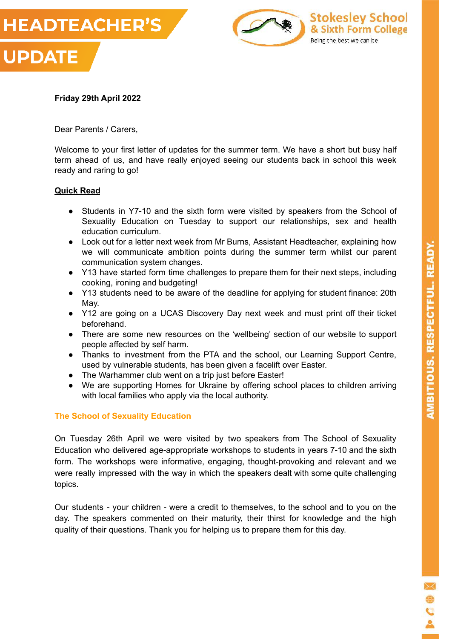



#### **Friday 29th April 2022**

Dear Parents / Carers,

Welcome to your first letter of updates for the summer term. We have a short but busy half term ahead of us, and have really enjoyed seeing our students back in school this week ready and raring to go!

#### **Quick Read**

- Students in Y7-10 and the sixth form were visited by speakers from the School of Sexuality Education on Tuesday to support our relationships, sex and health education curriculum.
- Look out for a letter next week from Mr Burns, Assistant Headteacher, explaining how we will communicate ambition points during the summer term whilst our parent communication system changes.
- Y13 have started form time challenges to prepare them for their next steps, including cooking, ironing and budgeting!
- Y13 students need to be aware of the deadline for applying for student finance: 20th May.
- Y12 are going on a UCAS Discovery Day next week and must print off their ticket beforehand.
- There are some new resources on the 'wellbeing' section of our website to support people affected by self harm.
- Thanks to investment from the PTA and the school, our Learning Support Centre, used by vulnerable students, has been given a facelift over Easter.
- The Warhammer club went on a trip just before Easter!
- We are supporting Homes for Ukraine by offering school places to children arriving with local families who apply via the local authority.

#### **The School of Sexuality Education**

On Tuesday 26th April we were visited by two speakers from The School of Sexuality Education who delivered age-appropriate workshops to students in years 7-10 and the sixth form. The workshops were informative, engaging, thought-provoking and relevant and we were really impressed with the way in which the speakers dealt with some quite challenging topics.

Our students - your children - were a credit to themselves, to the school and to you on the day. The speakers commented on their maturity, their thirst for knowledge and the high quality of their questions. Thank you for helping us to prepare them for this day.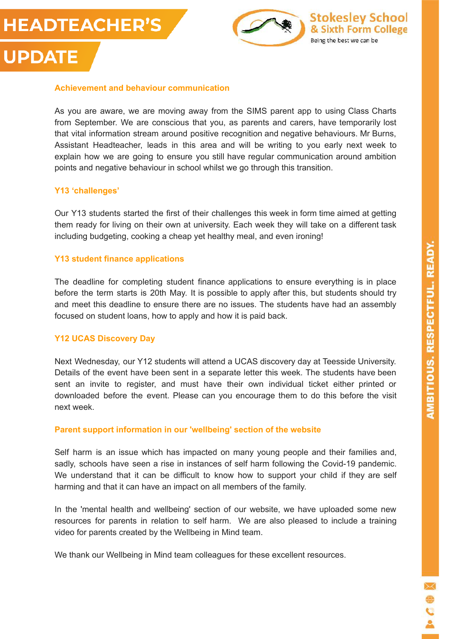# **HEADTEACHER'S**

**UPDATE** 



#### **Achievement and behaviour communication**

As you are aware, we are moving away from the SIMS parent app to using Class Charts from September. We are conscious that you, as parents and carers, have temporarily lost that vital information stream around positive recognition and negative behaviours. Mr Burns, Assistant Headteacher, leads in this area and will be writing to you early next week to explain how we are going to ensure you still have regular communication around ambition points and negative behaviour in school whilst we go through this transition.

#### **Y13 'challenges'**

Our Y13 students started the first of their challenges this week in form time aimed at getting them ready for living on their own at university. Each week they will take on a different task including budgeting, cooking a cheap yet healthy meal, and even ironing!

#### **Y13 student finance applications**

The deadline for completing student finance applications to ensure everything is in place before the term starts is 20th May. It is possible to apply after this, but students should try and meet this deadline to ensure there are no issues. The students have had an assembly focused on student loans, how to apply and how it is paid back.

#### **Y12 UCAS Discovery Day**

Next Wednesday, our Y12 students will attend a UCAS discovery day at Teesside University. Details of the event have been sent in a separate letter this week. The students have been sent an invite to register, and must have their own individual ticket either printed or downloaded before the event. Please can you encourage them to do this before the visit next week.

#### **Parent support information in our 'wellbeing' section of the website**

Self harm is an issue which has impacted on many young people and their families and, sadly, schools have seen a rise in instances of self harm following the Covid-19 pandemic. We understand that it can be difficult to know how to support your child if they are self harming and that it can have an impact on all members of the family.

In the 'mental health and wellbeing' section of our website, we have uploaded some new resources for parents in relation to self harm. We are also pleased to include a training video for parents created by the Wellbeing in Mind team.

We thank our Wellbeing in Mind team colleagues for these excellent resources.